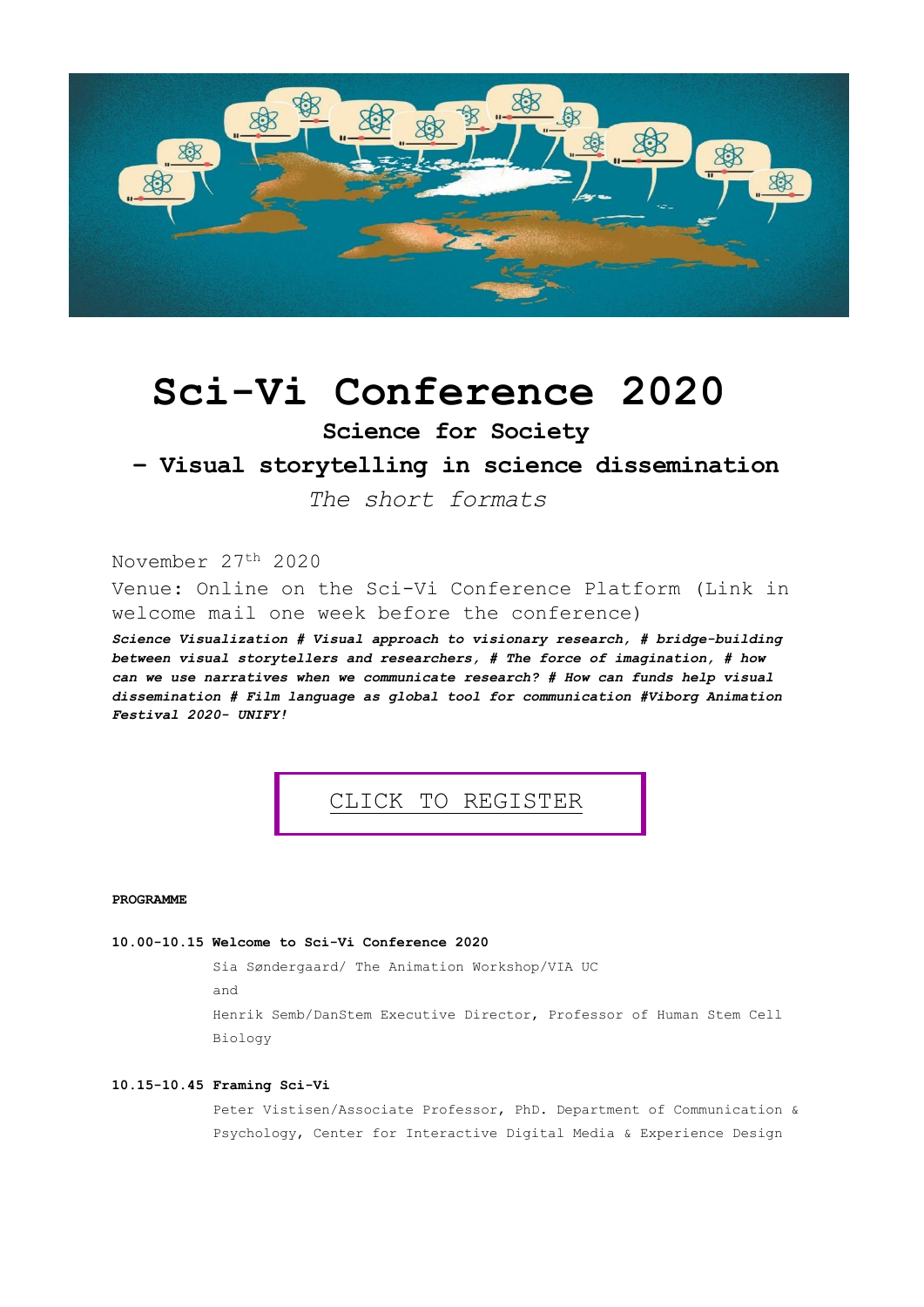

# **Sci-Vi Conference 2020**

**Science for Society**

## **– Visual storytelling in science dissemination**

*The short formats* 

November 27th 2020

Venue: Online on the Sci-Vi Conference Platform (Link in welcome mail one week before the conference)

*Science Visualization # Visual approach to visionary research, # bridge-building between visual storytellers and researchers, # The force of imagination, # how can we use narratives when we communicate research? # How can funds help visual dissemination # Film language as global tool for communication #Viborg Animation Festival 2020- UNIFY!*

CLICK TO [REGIS](https://viapay.dk/shop/269-sci-vi/7311-sci-vi-conference-2020---science-for-society---visual-storytelling-in-science-dissemination/)TER

**PROGRAMME**

## **10.00-10.15 Welcome to Sci-Vi Conference 2020**

Sia Søndergaard/ The Animation Workshop/VIA UC and Henrik Semb/DanStem Executive Director, Professor of Human Stem Cell Biology

## **10.15-10.45 Framing Sci-Vi**

Peter Vistisen/Associate Professor, PhD. Department of Communication & Psychology, Center for Interactive Digital Media & Experience Design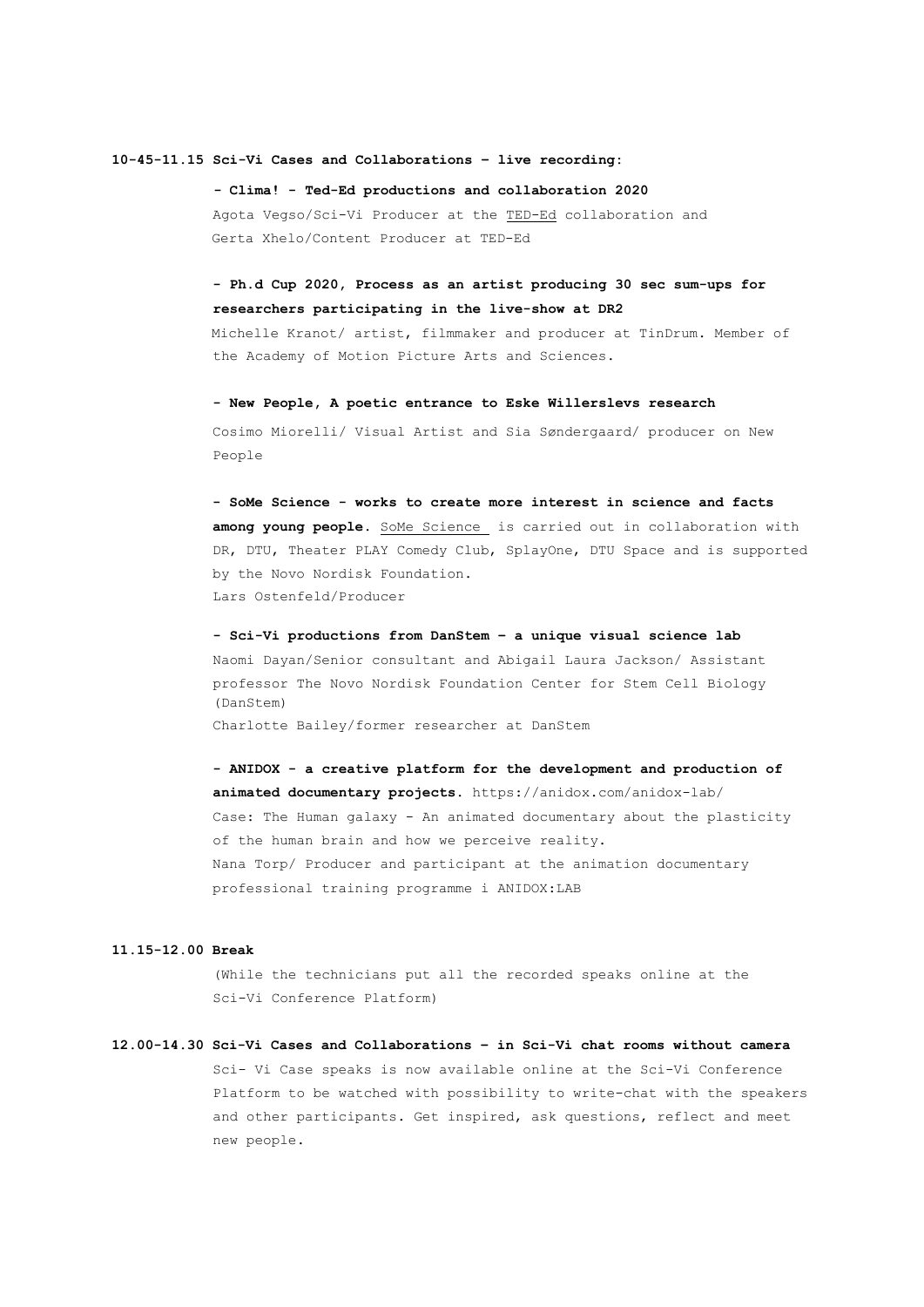#### **10-45-11.15 Sci-Vi Cases and Collaborations – live recording:**

*-* **Clima! - Ted-Ed productions and collaboration 2020** Agota Vegso/Sci-Vi Producer at the [TED-Ed](https://ed.ted.com/) collaboration and Gerta Xhelo/Content Producer at TED-Ed

## **- Ph.d Cup 2020, Process as an artist producing 30 sec sum-ups for researchers participating in the live-show at DR2**

Michelle Kranot/ artist, filmmaker and producer at TinDrum. Member of the Academy of Motion Picture Arts and Sciences.

**- New People, A poetic entrance to Eske Willerslevs research** Cosimo Miorelli/ Visual Artist and Sia Søndergaard/ producer on New People

**- SoMe Science - works to create more interest in science and facts** among young people. SoMe Science is carried out in collaboration with DR, DTU, Theater PLAY Comedy Club, SplayOne, DTU Space and is supported by the Novo Nordisk Foundation. Lars Ostenfeld/Producer

**- Sci-Vi productions from DanStem – a unique visual science lab** Naomi Dayan/Senior consultant and Abigail Laura Jackson/ Assistant professor The Novo Nordisk Foundation Center for Stem Cell Biology (DanStem) Charlotte Bailey/former researcher at DanStem

**- ANIDOX - a creative platform for the development and production of animated documentary projects.** https://anidox.com/anidox-lab/ Case: The Human galaxy - An animated documentary about the plasticity of the human brain and how we perceive reality. Nana Torp/ Producer and participant at the animation documentary professional training programme i ANIDOX:LAB

## **11.15-12.00 Break**

(While the technicians put all the recorded speaks online at the Sci-Vi Conference Platform)

**12.00-14.30 Sci-Vi Cases and Collaborations – in Sci-Vi chat rooms without camera** Sci- Vi Case speaks is now available online at the Sci-Vi Conference Platform to be watched with possibility to write-chat with the speakers and other participants. Get inspired, ask questions, reflect and meet new people.